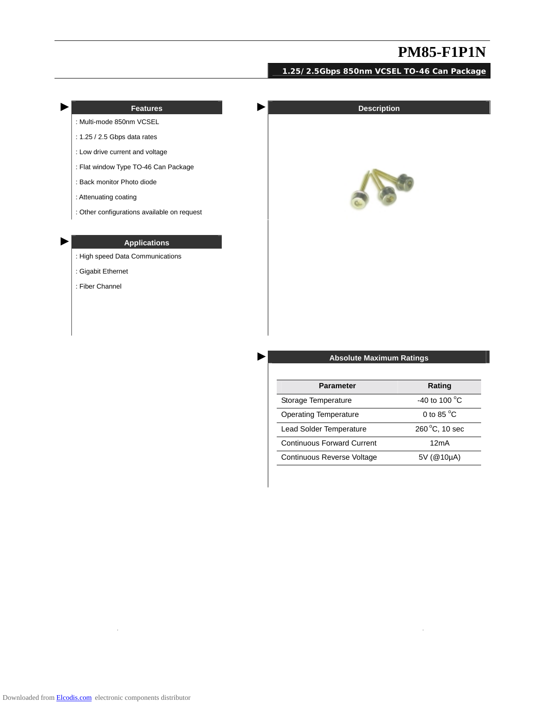## **1.25/2.5Gbps 850nm VCSEL TO-46 Can Package**

| D | <b>Features</b>                                                               | <b>Description</b> |
|---|-------------------------------------------------------------------------------|--------------------|
|   | : Multi-mode 850nm VCSEL                                                      |                    |
|   | : 1.25 / 2.5 Gbps data rates                                                  |                    |
|   | : Low drive current and voltage                                               |                    |
|   | : Flat window Type TO-46 Can Package                                          |                    |
|   | : Back monitor Photo diode                                                    |                    |
|   | : Attenuating coating                                                         |                    |
|   | : Other configurations available on request                                   |                    |
| Þ | <b>Applications</b><br>: High speed Data Communications<br>: Gigabit Ethernet |                    |
|   | : Fiber Channel                                                               |                    |

### ► **Absolute Maximum Ratings**

| <b>Parameter</b>                  | Rating                 |
|-----------------------------------|------------------------|
| Storage Temperature               | -40 to 100 $\degree$ C |
| <b>Operating Temperature</b>      | 0 to 85 $\degree$ C    |
| Lead Solder Temperature           | 260 °C, 10 sec         |
| <b>Continuous Forward Current</b> | 12mA                   |
| <b>Continuous Reverse Voltage</b> | 5V (@10µA)             |

 $\sim$ 

 $\hat{\mathcal{A}}$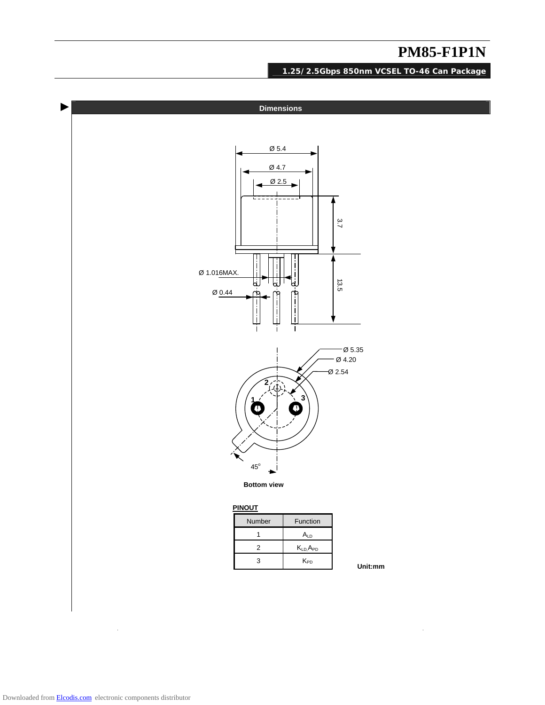$\hat{\boldsymbol{\beta}}$ 

**1.25/2.5Gbps 850nm VCSEL TO-46 Can Package**

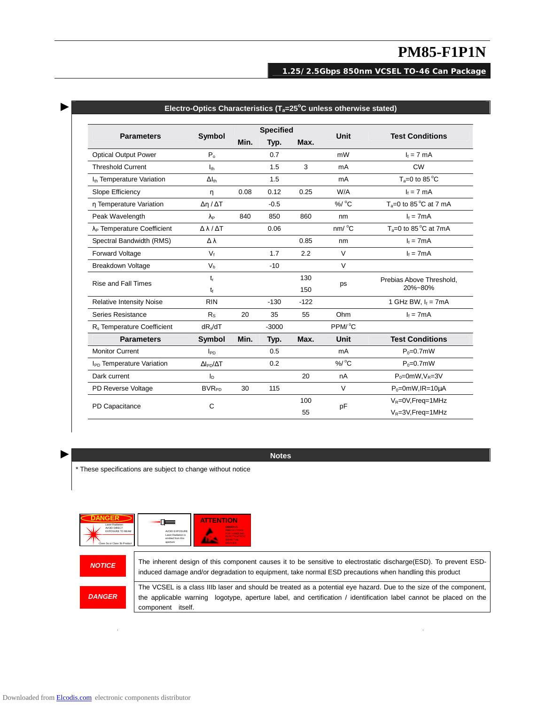### **1.25/2.5Gbps 850nm VCSEL TO-46 Can Package**

| <b>Parameters</b>                      |                             | <b>Specified</b> |         |        |                     |                             |
|----------------------------------------|-----------------------------|------------------|---------|--------|---------------------|-----------------------------|
|                                        | <b>Symbol</b>               | Min.             | Typ.    | Max.   | <b>Unit</b>         | <b>Test Conditions</b>      |
| <b>Optical Output Power</b>            | $P_{0}$                     |                  | 0.7     |        | mW                  | $I_f = 7$ mA                |
| <b>Threshold Current</b>               | $I_{th}$                    |                  | 1.5     | 3      | mA                  | <b>CW</b>                   |
| I <sub>th</sub> Temperature Variation  | $\Delta I_{\text{th}}$      |                  | 1.5     |        | mA                  | $T_a = 0$ to 85 °C          |
| Slope Efficiency                       | n                           | 0.08             | 0.12    | 0.25   | W/A                 | $I_f = 7$ mA                |
| n Temperature Variation                | $\Delta n / \Delta T$       |                  | $-0.5$  |        | %/ °C               | $T_a=0$ to 85 °C at 7 mA    |
| Peak Wavelength                        | $\lambda_{\texttt{P}}$      | 840              | 850     | 860    | nm                  | $I_f = 7mA$                 |
| λ <sub>P</sub> Temperature Coefficient | $\Delta \lambda / \Delta T$ |                  | 0.06    |        | nm/°C               | $T_a = 0$ to 85 °C at 7mA   |
| Spectral Bandwidth (RMS)               | Δλ                          |                  |         | 0.85   | nm                  | $I_f = 7mA$                 |
| Forward Voltage                        | $V_f$                       |                  | 1.7     | 2.2    | $\vee$              | $I_f = 7mA$                 |
| Breakdown Voltage                      | V <sub>b</sub>              |                  | $-10$   |        | $\vee$              |                             |
| Rise and Fall Times                    | $t_{r}$                     |                  |         | 130    | ps                  | Prebias Above Threshold,    |
|                                        | $t_{\rm f}$                 |                  |         | 150    |                     | 20%~80%                     |
| <b>Relative Intensity Noise</b>        | <b>RIN</b>                  |                  | $-130$  | $-122$ |                     | 1 GHz BW, $I_f = 7mA$       |
| Series Resistance                      | $R_{\rm S}$                 | 20               | 35      | 55     | Ohm                 | $I_f = 7mA$                 |
| R <sub>s</sub> Temperature Coefficient | $dR_s/dT$                   |                  | $-3000$ |        | PPM/ <sup>°</sup> C |                             |
| <b>Parameters</b>                      | Symbol                      | Min.             | Typ.    | Max.   | Unit                | <b>Test Conditions</b>      |
| <b>Monitor Current</b>                 | $I_{PD}$                    |                  | 0.5     |        | mA                  | $P_0 = 0.7$ mW              |
| I <sub>PD</sub> Temperature Variation  | $\Delta I_{PD}/\Delta T$    |                  | 0.2     |        | $\%$ / $\degree$ C  | $P_0 = 0.7$ mW              |
| Dark current                           | $I_{\rm D}$                 |                  |         | 20     | nA                  | $P_0 = 0$ mW, $V_R = 3V$    |
| PD Reverse Voltage                     | <b>BVR<sub>PD</sub></b>     | 30               | 115     |        | V                   | $P_0 = 0$ mW, IR=10 $\mu$ A |
|                                        |                             |                  |         | 100    | pF                  | $V_R = 0V$ , Freq = 1 MHz   |
| PD Capacitance                         | C                           |                  |         | 55     |                     | $V_R = 3V$ , Freq = 1 MHz   |

### ► **Electro-Optics Characteristics (Ta=25<sup>o</sup> C unless otherwise stated)**

► **Notes** 

\* These specifications are subject to change without notice



The inherent design of this component causes it to be sensitive to electrostatic discharge(ESD). To prevent ESDinduced damage and/or degradation to equipment, take normal ESD precautions when handling this product

 The VCSEL is a class IIIb laser and should be treated as a potential eye hazard. Due to the size of the component, the applicable warning logotype, aperture label, and certification / identification label cannot be placed on the component itself.

 $\ddot{\phantom{a}}$ 

*DANGER* 

 $\ddot{\phantom{a}}$